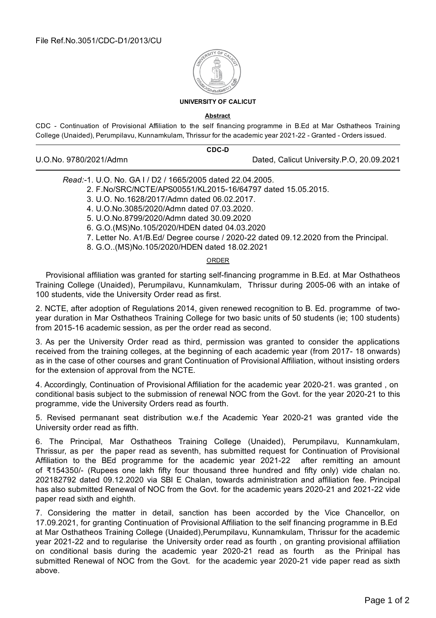

## **UNIVERSITY OF CALICUT**

## **Abstract**

CDC - Continuation of Provisional Affiliation to the self financing programme in B.Ed at Mar Osthatheos Training College (Unaided), Perumpilavu, Kunnamkulam, Thrissur for the academic year 2021-22 - Granted - Orders issued.

|                        | CDC-D |                                           |
|------------------------|-------|-------------------------------------------|
| U.O.No. 9780/2021/Admn |       | Dated, Calicut University.P.O, 20.09.2021 |

*Read:-*1. U.O. No. GA I / D2 / 1665/2005 dated 22.04.2005.

2. F.No/SRC/NCTE/APS00551/KL2015-16/64797 dated 15.05.2015.

3. U.O. No.1628/2017/Admn dated 06.02.2017.

4. U.O.No.3085/2020/Admn dated 07.03.2020.

5. U.O.No.8799/2020/Admn dated 30.09.2020

6. G.O.(MS)No.105/2020/HDEN dated 04.03.2020

7. Letter No. A1/B.Ed/ Degree course / 2020-22 dated 09.12.2020 from the Principal.

8. G.O..(MS)No.105/2020/HDEN dated 18.02.2021

## **ORDER**

Provisional affiliation was granted for starting self-financing programme in B.Ed. at Mar Osthatheos Training College (Unaided), Perumpilavu, Kunnamkulam, Thrissur during 2005-06 with an intake of 100 students, vide the University Order read as first.

2. NCTE, after adoption of Regulations 2014, given renewed recognition to B. Ed. programme of twoyear duration in Mar Osthatheos Training College for two basic units of 50 students (ie; 100 students) from 2015-16 academic session, as per the order read as second.

3. As per the University Order read as third, permission was granted to consider the applications received from the training colleges, at the beginning of each academic year (from 2017- 18 onwards) as in the case of other courses and grant Continuation of Provisional Affiliation, without insisting orders for the extension of approval from the NCTE.

4. Accordingly, Continuation of Provisional Affiliation for the academic year 2020-21. was granted , on conditional basis subject to the submission of renewal NOC from the Govt. for the year 2020-21 to this programme, vide the University Orders read as fourth.

5. Revised permanant seat distribution w.e.f the Academic Year 2020-21 was granted vide the University order read as fifth.

6. The Principal, Mar Osthatheos Training College (Unaided), Perumpilavu, Kunnamkulam, Thrissur, as per the paper read as seventh, has submitted request for Continuation of Provisional Affiliation to the BEd programme for the academic year 2021-22 after remitting an amount of ₹154350/- (Rupees one lakh fifty four thousand three hundred and fifty only) vide chalan no. 202182792 dated 09.12.2020 via SBI E Chalan, towards administration and affiliation fee. Principal has also submitted Renewal of NOC from the Govt. for the academic years 2020-21 and 2021-22 vide paper read sixth and eighth.

7. Considering the matter in detail, sanction has been accorded by the Vice Chancellor, on 17.09.2021, for granting Continuation of Provisional Affiliation to the self financing programme in B.Ed at Mar Osthatheos Training College (Unaided),Perumpilavu, Kunnamkulam, Thrissur for the academic year 2021-22 and to regularise the University order read as fourth , on granting provisional affiliation on conditional basis during the academic year 2020-21 read as fourth as the Prinipal has submitted Renewal of NOC from the Govt. for the academic year 2020-21 vide paper read as sixth above.